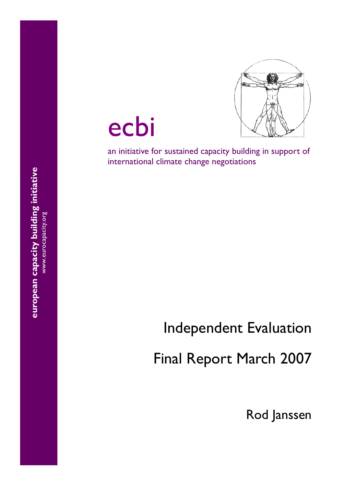

ecbi

an initiative for sustained capacity building in support of international climate change negotiations

# Independent Evaluation

Final Report March 2007

Rod Janssen

european capacity building initiative **european capacity building initiative**  www.eurocapacity.org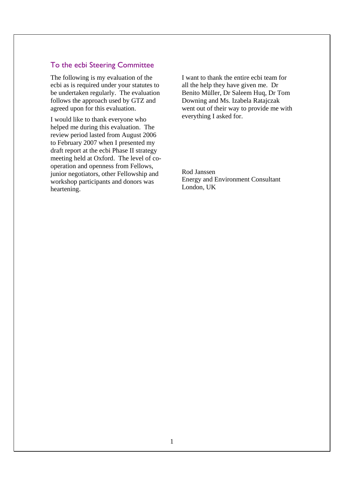# To the ecbi Steering Committee

The following is my evaluation of the ecbi as is required under your statutes to be undertaken regularly. The evaluation follows the approach used by GTZ and agreed upon for this evaluation.

I would like to thank everyone who helped me during this evaluation. The review period lasted from August 2006 to February 2007 when I presented my draft report at the ecbi Phase II strategy meeting held at Oxford. The level of cooperation and openness from Fellows, junior negotiators, other Fellowship and workshop participants and donors was heartening.

I want to thank the entire ecbi team for all the help they have given me. Dr Benito Müller, Dr Saleem Huq, Dr Tom Downing and Ms. Izabela Ratajczak went out of their way to provide me with everything I asked for.

Rod Janssen Energy and Environment Consultant London, UK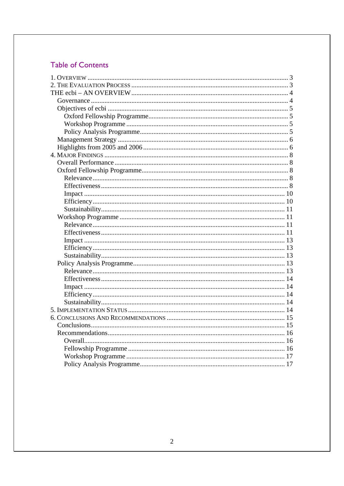# **Table of Contents**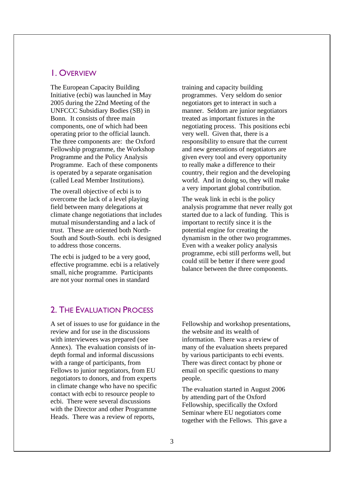# 1. OVERVIEW

The European Capacity Building Initiative (ecbi) was launched in May 2005 during the 22nd Meeting of the UNFCCC Subsidiary Bodies (SB) in Bonn. It consists of three main components, one of which had been operating prior to the official launch. The three components are: the Oxford Fellowship programme, the Workshop Programme and the Policy Analysis Programme. Each of these components is operated by a separate organisation (called Lead Member Institutions).

The overall objective of ecbi is to overcome the lack of a level playing field between many delegations at climate change negotiations that includes mutual misunderstanding and a lack of trust. These are oriented both North-South and South-South. ecbi is designed to address those concerns.

The ecbi is judged to be a very good, effective programme. ecbi is a relatively small, niche programme. Participants are not your normal ones in standard

training and capacity building programmes. Very seldom do senior negotiators get to interact in such a manner. Seldom are junior negotiators treated as important fixtures in the negotiating process. This positions ecbi very well. Given that, there is a responsibility to ensure that the current and new generations of negotiators are given every tool and every opportunity to really make a difference to their country, their region and the developing world. And in doing so, they will make a very important global contribution.

The weak link in ecbi is the policy analysis programme that never really got started due to a lack of funding. This is important to rectify since it is the potential engine for creating the dynamism in the other two programmes. Even with a weaker policy analysis programme, ecbi still performs well, but could still be better if there were good balance between the three components.

# 2. THE EVALUATION PROCESS

A set of issues to use for guidance in the review and for use in the discussions with interviewees was prepared (see Annex). The evaluation consists of indepth formal and informal discussions with a range of participants, from Fellows to junior negotiators, from EU negotiators to donors, and from experts in climate change who have no specific contact with ecbi to resource people to ecbi. There were several discussions with the Director and other Programme Heads. There was a review of reports,

Fellowship and workshop presentations, the website and its wealth of information. There was a review of many of the evaluation sheets prepared by various participants to ecbi events. There was direct contact by phone or email on specific questions to many people.

The evaluation started in August 2006 by attending part of the Oxford Fellowship, specifically the Oxford Seminar where EU negotiators come together with the Fellows. This gave a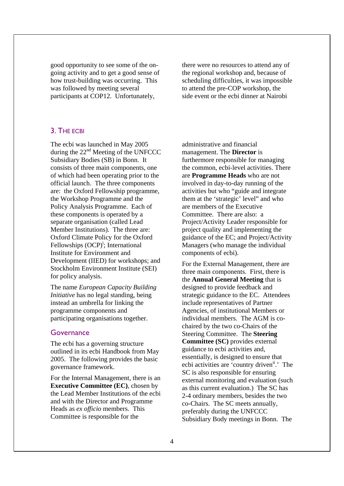good opportunity to see some of the ongoing activity and to get a good sense of how trust-building was occurring. This was followed by meeting several participants at COP12. Unfortunately,

there were no resources to attend any of the regional workshop and, because of scheduling difficulties, it was impossible to attend the pre-COP workshop, the side event or the ecbi dinner at Nairobi

# 3. THE ECBI

The ecbi was launched in May 2005 during the  $22<sup>nd</sup>$  Meeting of the UNFCCC Subsidiary Bodies (SB) in Bonn. It consists of three main components, one of which had been operating prior to the official launch. The three components are: the Oxford Fellowship programme, the Workshop Programme and the Policy Analysis Programme. Each of these components is operated by a separate organisation (called Lead Member Institutions). The three are: Oxford Climate Policy for the Oxford Fellowships (OCP)<sup>i</sup>; International Institute for Environment and Development (IIED) for workshops; and Stockholm Environment Institute (SEI) for policy analysis.

The name *European Capacity Building Initiative* has no legal standing, being instead an umbrella for linking the programme components and participating organisations together.

## **Governance**

The ecbi has a governing structure outlined in its ecbi Handbook from May 2005. The following provides the basic governance framework.

For the Internal Management, there is an **Executive Committee (EC)**, chosen by the Lead Member Institutions of the ecbi and with the Director and Programme Heads as *ex officio* members. This Committee is responsible for the

administrative and financial management. The **Director** is furthermore responsible for managing the common, ecbi-level activities. There are **Programme Heads** who are not involved in day-to-day running of the activities but who "guide and integrate them at the 'strategic' level" and who are members of the Executive Committee. There are also: a Project/Activity Leader responsible for project quality and implementing the guidance of the EC; and Project/Activity Managers (who manage the individual components of ecbi).

For the External Management, there are three main components. First, there is the **Annual General Meeting** that is designed to provide feedback and strategic guidance to the EC. Attendees include representatives of Partner Agencies, of institutional Members or individual members. The AGM is cochaired by the two co-Chairs of the Steering Committee. The **Steering Committee (SC)** provides external guidance to ecbi activities and, essentially, is designed to ensure that ecbi activities are 'country driven<sup>ii</sup>.' The SC is also responsible for ensuring external monitoring and evaluation (such as this current evaluation.) The SC has 2-4 ordinary members, besides the two co-Chairs. The SC meets annually, preferably during the UNFCCC Subsidiary Body meetings in Bonn. The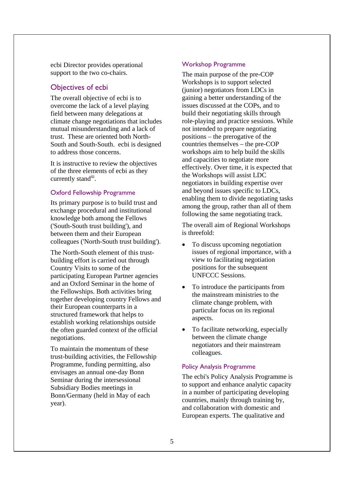ecbi Director provides operational support to the two co-chairs.

# Objectives of ecbi

The overall objective of ecbi is to overcome the lack of a level playing field between many delegations at climate change negotiations that includes mutual misunderstanding and a lack of trust. These are oriented both North-South and South-South. ecbi is designed to address those concerns.

It is instructive to review the objectives of the three elements of ecbi as they currently stand<sup>iii</sup>.

## Oxford Fellowship Programme

Its primary purpose is to build trust and exchange procedural and institutional knowledge both among the Fellows ('South-South trust building'), and between them and their European colleagues ('North-South trust building').

The North-South element of this trustbuilding effort is carried out through Country Visits to some of the participating European Partner agencies and an Oxford Seminar in the home of the Fellowships. Both activities bring together developing country Fellows and their European counterparts in a structured framework that helps to establish working relationships outside the often guarded context of the official negotiations.

To maintain the momentum of these trust-building activities, the Fellowship Programme, funding permitting, also envisages an annual one-day Bonn Seminar during the intersessional Subsidiary Bodies meetings in Bonn/Germany (held in May of each year).

## Workshop Programme

The main purpose of the pre-COP Workshops is to support selected (junior) negotiators from LDCs in gaining a better understanding of the issues discussed at the COPs, and to build their negotiating skills through role-playing and practice sessions. While not intended to prepare negotiating positions – the prerogative of the countries themselves – the pre-COP workshops aim to help build the skills and capacities to negotiate more effectively. Over time, it is expected that the Workshops will assist LDC negotiators in building expertise over and beyond issues specific to LDCs, enabling them to divide negotiating tasks among the group, rather than all of them following the same negotiating track.

The overall aim of Regional Workshops is threefold:

- To discuss upcoming negotiation issues of regional importance, with a view to facilitating negotiation positions for the subsequent UNFCCC Sessions.
- To introduce the participants from the mainstream ministries to the climate change problem, with particular focus on its regional aspects.
- To facilitate networking, especially between the climate change negotiators and their mainstream colleagues.

## Policy Analysis Programme

The ecbi's Policy Analysis Programme is to support and enhance analytic capacity in a number of participating developing countries, mainly through training by, and collaboration with domestic and European experts. The qualitative and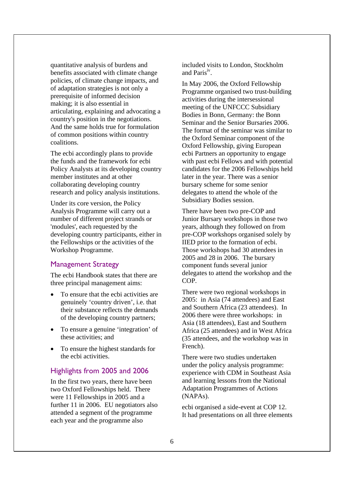quantitative analysis of burdens and benefits associated with climate change policies, of climate change impacts, and of adaptation strategies is not only a prerequisite of informed decision making; it is also essential in articulating, explaining and advocating a country's position in the negotiations. And the same holds true for formulation of common positions within country coalitions.

The ecbi accordingly plans to provide the funds and the framework for ecbi Policy Analysts at its developing country member institutes and at other collaborating developing country research and policy analysis institutions.

Under its core version, the Policy Analysis Programme will carry out a number of different project strands or 'modules', each requested by the developing country participants, either in the Fellowships or the activities of the Workshop Programme.

# Management Strategy

The ecbi Handbook states that there are three principal management aims:

- To ensure that the ecbi activities are genuinely 'country driven', i.e. that their substance reflects the demands of the developing country partners;
- To ensure a genuine 'integration' of these activities; and
- To ensure the highest standards for the ecbi activities.

## Highlights from 2005 and 2006

In the first two years, there have been two Oxford Fellowships held. There were 11 Fellowships in 2005 and a further 11 in 2006. EU negotiators also attended a segment of the programme each year and the programme also

included visits to London, Stockholm and Paris<sup>iv</sup>.

In May 2006, the Oxford Fellowship Programme organised two trust-building activities during the intersessional meeting of the UNFCCC Subsidiary Bodies in Bonn, Germany: the Bonn Seminar and the Senior Bursaries 2006. The format of the seminar was similar to the Oxford Seminar component of the Oxford Fellowship, giving European ecbi Partners an opportunity to engage with past ecbi Fellows and with potential candidates for the 2006 Fellowships held later in the year. There was a senior bursary scheme for some senior delegates to attend the whole of the Subsidiary Bodies session.

There have been two pre-COP and Junior Bursary workshops in those two years, although they followed on from pre-COP workshops organised solely by IIED prior to the formation of ecbi. Those workshops had 30 attendees in 2005 and 28 in 2006. The bursary component funds several junior delegates to attend the workshop and the COP.

There were two regional workshops in 2005: in Asia (74 attendees) and East and Southern Africa (23 attendees). In 2006 there were three workshops: in Asia (18 attendees), East and Southern Africa (25 attendees) and in West Africa (35 attendees, and the workshop was in French).

There were two studies undertaken under the policy analysis programme: experience with CDM in Southeast Asia and learning lessons from the National Adaptation Programmes of Actions (NAPAs).

ecbi organised a side-event at COP 12. It had presentations on all three elements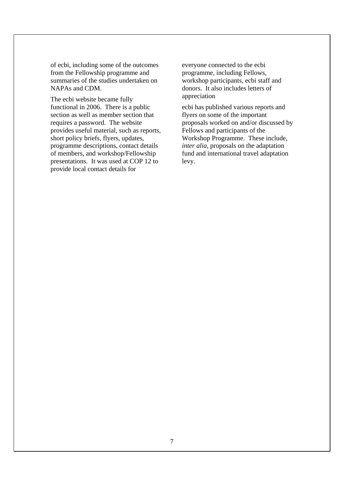of ecbi, including some of the outcomes from the Fellowship programme and summaries of the studies undertaken on NAPAs and CDM.

The ecbi website became fully functional in 2006. There is a public section as well as member section that requires a password. The website provides useful material, such as reports, short policy briefs, flyers, updates, programme descriptions, contact details of members, and workshop/Fellowship presentations. It was used at COP 12 to provide local contact details for

everyone connected to the ecbi programme, including Fellows, workshop participants, ecbi staff and donors. It also includes letters of appreciation

ecbi has published various reports and flyers on some of the important proposals worked on and/or discussed by Fellows and participants of the Workshop Programme. These include, *inter alia*, proposals on the adaptation fund and international travel adaptation levy.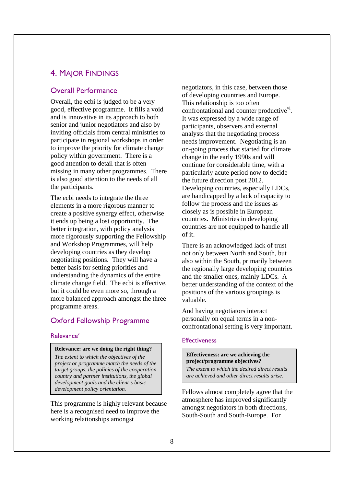# 4. MAJOR FINDINGS

## Overall Performance

Overall, the ecbi is judged to be a very good, effective programme. It fills a void and is innovative in its approach to both senior and junior negotiators and also by inviting officials from central ministries to participate in regional workshops in order to improve the priority for climate change policy within government. There is a good attention to detail that is often missing in many other programmes. There is also good attention to the needs of all the participants.

The ecbi needs to integrate the three elements in a more rigorous manner to create a positive synergy effect, otherwise it ends up being a lost opportunity. The better integration, with policy analysis more rigorously supporting the Fellowship and Workshop Programmes, will help developing countries as they develop negotiating positions. They will have a better basis for setting priorities and understanding the dynamics of the entire climate change field. The ecbi is effective, but it could be even more so, through a more balanced approach amongst the three programme areas.

# Oxford Fellowship Programme

### Relevance*<sup>v</sup>*

#### **Relevance: are we doing the right thing?**

*The extent to which the objectives of the project or programme match the needs of the target groups, the policies of the cooperation country and partner institutions, the global development goals and the client's basic development policy orientation.* 

This programme is highly relevant because here is a recognised need to improve the working relationships amongst

negotiators, in this case, between those of developing countries and Europe. This relationship is too often confrontational and counter productive $\overline{v}$ . It was expressed by a wide range of participants, observers and external analysts that the negotiating process needs improvement. Negotiating is an on-going process that started for climate change in the early 1990s and will continue for considerable time, with a particularly acute period now to decide the future direction post 2012. Developing countries, especially LDCs, are handicapped by a lack of capacity to follow the process and the issues as closely as is possible in European countries. Ministries in developing countries are not equipped to handle all of it.

There is an acknowledged lack of trust not only between North and South, but also within the South, primarily between the regionally large developing countries and the smaller ones, mainly LDCs. A better understanding of the context of the positions of the various groupings is valuable.

And having negotiators interact personally on equal terms in a nonconfrontational setting is very important.

#### **Effectiveness**

#### **Effectiveness: are we achieving the project/programme objectives?**

*The extent to which the desired direct results are achieved and other direct results arise.* 

Fellows almost completely agree that the atmosphere has improved significantly amongst negotiators in both directions, South-South and South-Europe. For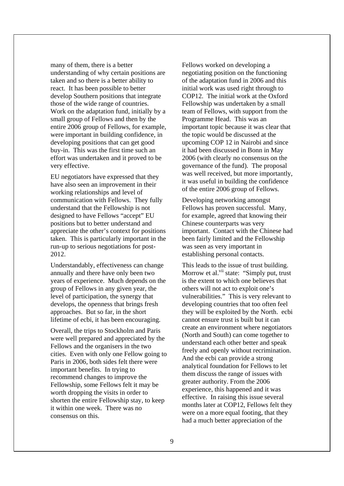many of them, there is a better understanding of why certain positions are taken and so there is a better ability to react. It has been possible to better develop Southern positions that integrate those of the wide range of countries. Work on the adaptation fund, initially by a small group of Fellows and then by the entire 2006 group of Fellows, for example, were important in building confidence, in developing positions that can get good buy-in. This was the first time such an effort was undertaken and it proved to be very effective.

EU negotiators have expressed that they have also seen an improvement in their working relationships and level of communication with Fellows. They fully understand that the Fellowship is not designed to have Fellows "accept" EU positions but to better understand and appreciate the other's context for positions taken. This is particularly important in the run-up to serious negotiations for post-2012.

Understandably, effectiveness can change annually and there have only been two years of experience. Much depends on the group of Fellows in any given year, the level of participation, the synergy that develops, the openness that brings fresh approaches. But so far, in the short lifetime of ecbi, it has been encouraging.

Overall, the trips to Stockholm and Paris were well prepared and appreciated by the Fellows and the organisers in the two cities. Even with only one Fellow going to Paris in 2006, both sides felt there were important benefits. In trying to recommend changes to improve the Fellowship, some Fellows felt it may be worth dropping the visits in order to shorten the entire Fellowship stay, to keep it within one week. There was no consensus on this.

Fellows worked on developing a negotiating position on the functioning of the adaptation fund in 2006 and this initial work was used right through to COP12. The initial work at the Oxford Fellowship was undertaken by a small team of Fellows, with support from the Programme Head. This was an important topic because it was clear that the topic would be discussed at the upcoming COP 12 in Nairobi and since it had been discussed in Bonn in May 2006 (with clearly no consensus on the governance of the fund). The proposal was well received, but more importantly, it was useful in building the confidence of the entire 2006 group of Fellows.

Developing networking amongst Fellows has proven successful. Many, for example, agreed that knowing their Chinese counterparts was very important. Contact with the Chinese had been fairly limited and the Fellowship was seen as very important in establishing personal contacts.

This leads to the issue of trust building. Morrow et al.<sup>vii</sup> state: "Simply put, trust is the extent to which one believes that others will not act to exploit one's vulnerabilities." This is very relevant to developing countries that too often feel they will be exploited by the North. ecbi cannot ensure trust is built but it can create an environment where negotiators (North and South) can come together to understand each other better and speak freely and openly without recrimination. And the ecbi can provide a strong analytical foundation for Fellows to let them discuss the range of issues with greater authority. From the 2006 experience, this happened and it was effective. In raising this issue several months later at COP12, Fellows felt they were on a more equal footing, that they had a much better appreciation of the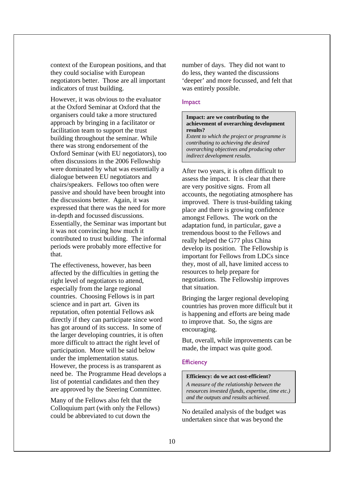context of the European positions, and that they could socialise with European negotiators better. Those are all important indicators of trust building.

However, it was obvious to the evaluator at the Oxford Seminar at Oxford that the organisers could take a more structured approach by bringing in a facilitator or facilitation team to support the trust building throughout the seminar. While there was strong endorsement of the Oxford Seminar (with EU negotiators), too often discussions in the 2006 Fellowship were dominated by what was essentially a dialogue between EU negotiators and chairs/speakers. Fellows too often were passive and should have been brought into the discussions better. Again, it was expressed that there was the need for more in-depth and focussed discussions. Essentially, the Seminar was important but it was not convincing how much it contributed to trust building. The informal periods were probably more effective for that.

The effectiveness, however, has been affected by the difficulties in getting the right level of negotiators to attend, especially from the large regional countries. Choosing Fellows is in part science and in part art. Given its reputation, often potential Fellows ask directly if they can participate since word has got around of its success. In some of the larger developing countries, it is often more difficult to attract the right level of participation. More will be said below under the implementation status. However, the process is as transparent as need be. The Programme Head develops a list of potential candidates and then they are approved by the Steering Committee.

Many of the Fellows also felt that the Colloquium part (with only the Fellows) could be abbreviated to cut down the

number of days. They did not want to do less, they wanted the discussions 'deeper' and more focussed, and felt that was entirely possible.

## Impact

## **Impact: are we contributing to the achievement of overarching development results?**

*Extent to which the project or programme is contributing to achieving the desired overarching objectives and producing other indirect development results.* 

After two years, it is often difficult to assess the impact. It is clear that there are very positive signs. From all accounts, the negotiating atmosphere has improved. There is trust-building taking place and there is growing confidence amongst Fellows. The work on the adaptation fund, in particular, gave a tremendous boost to the Fellows and really helped the G77 plus China develop its position. The Fellowship is important for Fellows from LDCs since they, most of all, have limited access to resources to help prepare for negotiations. The Fellowship improves that situation.

Bringing the larger regional developing countries has proven more difficult but it is happening and efforts are being made to improve that. So, the signs are encouraging.

But, overall, while improvements can be made, the impact was quite good.

## **Efficiency**

## **Efficiency: do we act cost-efficient?**

*A measure of the relationship between the resources invested (funds, expertise, time etc.) and the outputs and results achieved.* 

No detailed analysis of the budget was undertaken since that was beyond the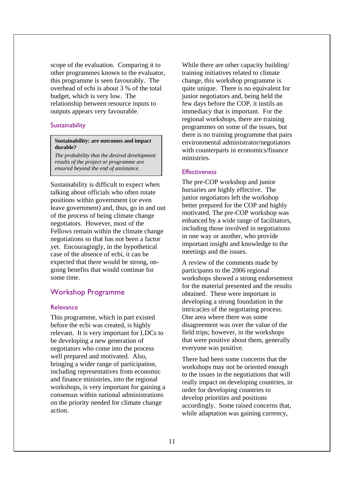scope of the evaluation. Comparing it to other programmes known to the evaluator, this programme is seen favourably. The overhead of ecbi is about 3 % of the total budget, which is very low. The relationship between resource inputs to outputs appears very favourable.

### Sustainability

## **Sustainability: are outcomes and impact durable?**

*The probability that the desired development results of the project or programme are ensured beyond the end of assistance.* 

Sustainability is difficult to expect when talking about officials who often rotate positions within government (or even leave government) and, thus, go in and out of the process of being climate change negotiators. However, most of the Fellows remain within the climate change negotiations so that has not been a factor yet. Encouragingly, in the hypothetical case of the absence of ecbi, it can be expected that there would be strong, ongoing benefits that would continue for some time.

## Workshop Programme

## **Relevance**

This programme, which in part existed before the ecbi was created, is highly relevant. It is very important for LDCs to be developing a new generation of negotiators who come into the process well prepared and motivated. Also, bringing a wider range of participation, including representatives from economic and finance ministries, into the regional workshops, is very important for gaining a consensus within national administrations on the priority needed for climate change action.

While there are other capacity building/ training initiatives related to climate change, this workshop programme is quite unique. There is no equivalent for junior negotiators and, being held the few days before the COP, it instils an immediacy that is important. For the regional workshops, there are training programmes on some of the issues, but there is no training programme that pairs environmental administrator/negotiators with counterparts in economics/finance ministries.

#### **Effectiveness**

The pre-COP workshop and junior bursaries are highly effective. The junior negotiators left the workshop better prepared for the COP and highly motivated. The pre-COP workshop was enhanced by a wide range of facilitators, including those involved in negotiations in one way or another, who provide important insight and knowledge to the meetings and the issues.

A review of the comments made by participants to the 2006 regional workshops showed a strong endorsement for the material presented and the results obtained. These were important in developing a strong foundation in the intricacies of the negotiating process. One area where there was some disagreement was over the value of the field trips; however, in the workshops that were positive about them, generally everyone was positive.

There had been some concerns that the workshops may not be oriented enough to the issues in the negotiations that will really impact on developing countries, in order for developing countries to develop priorities and positions accordingly. Some raised concerns that, while adaptation was gaining currency,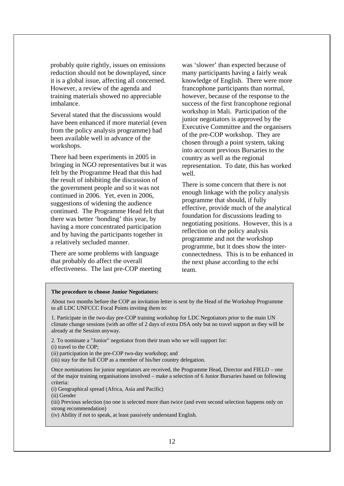probably quite rightly, issues on emissions reduction should not be downplayed, since it is a global issue, affecting all concerned. However, a review of the agenda and training materials showed no appreciable imbalance.

Several stated that the discussions would have been enhanced if more material (even from the policy analysis programme) had been available well in advance of the workshops.

There had been experiments in 2005 in bringing in NGO representatives but it was felt by the Programme Head that this had the result of inhibiting the discussion of the government people and so it was not continued in 2006. Yet, even in 2006, suggestions of widening the audience continued. The Programme Head felt that there was better 'bonding' this year, by having a more concentrated participation and by having the participants together in a relatively secluded manner.

There are some problems with language that probably do affect the overall effectiveness. The last pre-COP meeting

was 'slower' than expected because of many participants having a fairly weak knowledge of English. There were more francophone participants than normal, however, because of the response to the success of the first francophone regional workshop in Mali. Participation of the junior negotiators is approved by the Executive Committee and the organisers of the pre-COP workshop. They are chosen through a point system, taking into account previous Bursaries to the country as well as the regional representation. To date, this has worked well.

There is some concern that there is not enough linkage with the policy analysis programme that should, if fully effective, provide much of the analytical foundation for discussions leading to negotiating positions. However, this is a reflection on the policy analysis programme and not the workshop programme, but it does show the interconnectedness. This is to be enhanced in the next phase according to the ecbi team.

#### **The procedure to choose Junior Negotiators:**

About two months before the COP an invitation letter is sent by the Head of the Workshop Programme to all LDC UNFCCC Focal Points inviting them to:

1. Participate in the two-day pre-COP training workshop for LDC Negotiators prior to the main UN climate change sessions (with an offer of 2 days of extra DSA only but no travel support as they will be already at the Session anyway.

2. To nominate a "Junior" negotiator from their team who we will support for:

(i) travel to the COP;

(ii) participation in the pre-COP two-day workshop; and

(iii) stay for the full COP as a member of his/her country delegation.

Once nominations for junior negotiators are received, the Programme Head, Director and FIELD – one of the major training organisations involved – make a selection of 6 Junior Bursaries based on following criteria:

(i) Geographical spread (Africa, Asia and Pacific)

(ii) Gender

(iii) Previous selection (no one is selected more than twice (and even second selection happens only on strong recommendation)

(iv) Ability if not to speak, at least passively understand English.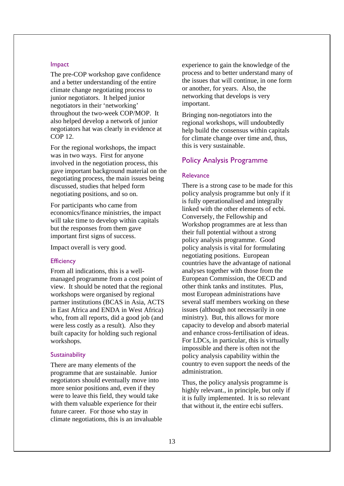#### Impact

The pre-COP workshop gave confidence and a better understanding of the entire climate change negotiating process to junior negotiators. It helped junior negotiators in their 'networking' throughout the two-week COP/MOP. It also helped develop a network of junior negotiators hat was clearly in evidence at COP 12.

For the regional workshops, the impact was in two ways. First for anyone involved in the negotiation process, this gave important background material on the negotiating process, the main issues being discussed, studies that helped form negotiating positions, and so on.

For participants who came from economics/finance ministries, the impact will take time to develop within capitals but the responses from them gave important first signs of success.

Impact overall is very good.

### **Efficiency**

From all indications, this is a wellmanaged programme from a cost point of view. It should be noted that the regional workshops were organised by regional partner institutions (BCAS in Asia, ACTS in East Africa and ENDA in West Africa) who, from all reports, did a good job (and were less costly as a result). Also they built capacity for holding such regional workshops.

#### **Sustainability**

There are many elements of the programme that are sustainable. Junior negotiators should eventually move into more senior positions and, even if they were to leave this field, they would take with them valuable experience for their future career. For those who stay in climate negotiations, this is an invaluable experience to gain the knowledge of the process and to better understand many of the issues that will continue, in one form or another, for years. Also, the networking that develops is very important.

Bringing non-negotiators into the regional workshops, will undoubtedly help build the consensus within capitals for climate change over time and, thus, this is very sustainable.

## Policy Analysis Programme

## Relevance

There is a strong case to be made for this policy analysis programme but only if it is fully operationalised and integrally linked with the other elements of ecbi. Conversely, the Fellowship and Workshop programmes are at less than their full potential without a strong policy analysis programme. Good policy analysis is vital for formulating negotiating positions. European countries have the advantage of national analyses together with those from the European Commission, the OECD and other think tanks and institutes. Plus, most European administrations have several staff members working on these issues (although not necessarily in one ministry). But, this allows for more capacity to develop and absorb material and enhance cross-fertilisation of ideas. For LDCs, in particular, this is virtually impossible and there is often not the policy analysis capability within the country to even support the needs of the administration.

Thus, the policy analysis programme is highly relevant., in principle, but only if it is fully implemented. It is so relevant that without it, the entire ecbi suffers.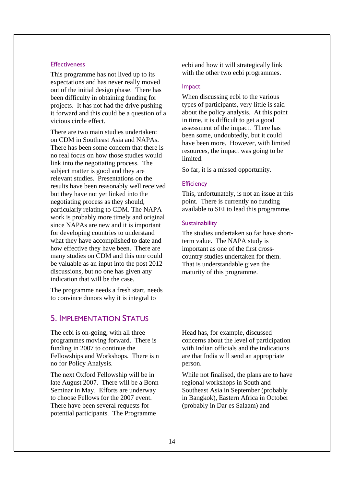#### **Effectiveness**

This programme has not lived up to its expectations and has never really moved out of the initial design phase. There has been difficulty in obtaining funding for projects. It has not had the drive pushing it forward and this could be a question of a vicious circle effect.

There are two main studies undertaken: on CDM in Southeast Asia and NAPAs. There has been some concern that there is no real focus on how those studies would link into the negotiating process. The subject matter is good and they are relevant studies. Presentations on the results have been reasonably well received but they have not yet linked into the negotiating process as they should, particularly relating to CDM. The NAPA work is probably more timely and original since NAPAs are new and it is important for developing countries to understand what they have accomplished to date and how effective they have been. There are many studies on CDM and this one could be valuable as an input into the post 2012 discussions, but no one has given any indication that will be the case.

The programme needs a fresh start, needs to convince donors why it is integral to

# 5. IMPLEMENTATION STATUS

The ecbi is on-going, with all three programmes moving forward. There is funding in 2007 to continue the Fellowships and Workshops. There is n no for Policy Analysis.

The next Oxford Fellowship will be in late August 2007. There will be a Bonn Seminar in May. Efforts are underway to choose Fellows for the 2007 event. There have been several requests for potential participants. The Programme

ecbi and how it will strategically link with the other two ecbi programmes.

## Impact

When discussing ecbi to the various types of participants, very little is said about the policy analysis. At this point in time, it is difficult to get a good assessment of the impact. There has been some, undoubtedly, but it could have been more. However, with limited resources, the impact was going to be limited.

So far, it is a missed opportunity.

### **Efficiency**

This, unfortunately, is not an issue at this point. There is currently no funding available to SEI to lead this programme.

## Sustainability

The studies undertaken so far have shortterm value. The NAPA study is important as one of the first crosscountry studies undertaken for them. That is understandable given the maturity of this programme.

Head has, for example, discussed concerns about the level of participation with Indian officials and the indications are that India will send an appropriate person.

While not finalised, the plans are to have regional workshops in South and Southeast Asia in September (probably in Bangkok), Eastern Africa in October (probably in Dar es Salaam) and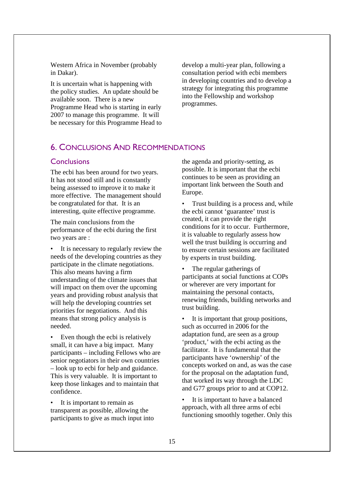Western Africa in November (probably in Dakar).

It is uncertain what is happening with the policy studies. An update should be available soon. There is a new Programme Head who is starting in early 2007 to manage this programme. It will be necessary for this Programme Head to develop a multi-year plan, following a consultation period with ecbi members in developing countries and to develop a strategy for integrating this programme into the Fellowship and workshop programmes.

# 6. CONCLUSIONS AND RECOMMENDATIONS

## **Conclusions**

The ecbi has been around for two years. It has not stood still and is constantly being assessed to improve it to make it more effective. The management should be congratulated for that. It is an interesting, quite effective programme.

The main conclusions from the performance of the ecbi during the first two years are :

It is necessary to regularly review the needs of the developing countries as they participate in the climate negotiations. This also means having a firm understanding of the climate issues that will impact on them over the upcoming years and providing robust analysis that will help the developing countries set priorities for negotiations. And this means that strong policy analysis is needed.

• Even though the ecbi is relatively small, it can have a big impact. Many participants – including Fellows who are senior negotiators in their own countries – look up to ecbi for help and guidance. This is very valuable. It is important to keep those linkages and to maintain that confidence.

It is important to remain as transparent as possible, allowing the participants to give as much input into

the agenda and priority-setting, as possible. It is important that the ecbi continues to be seen as providing an important link between the South and Europe.

• Trust building is a process and, while the ecbi cannot 'guarantee' trust is created, it can provide the right conditions for it to occur. Furthermore, it is valuable to regularly assess how well the trust building is occurring and to ensure certain sessions are facilitated by experts in trust building.

• The regular gatherings of participants at social functions at COPs or wherever are very important for maintaining the personal contacts, renewing friends, building networks and trust building.

• It is important that group positions, such as occurred in 2006 for the adaptation fund, are seen as a group 'product,' with the ecbi acting as the facilitator. It is fundamental that the participants have 'ownership' of the concepts worked on and, as was the case for the proposal on the adaptation fund, that worked its way through the LDC and G77 groups prior to and at COP12.

• It is important to have a balanced approach, with all three arms of ecbi functioning smoothly together. Only this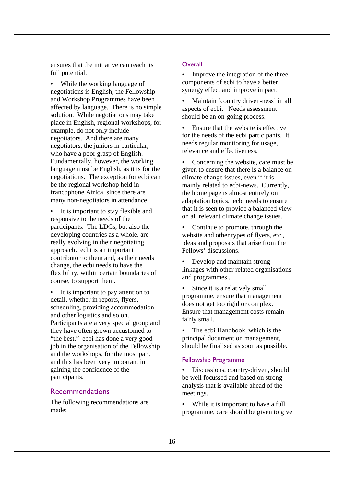ensures that the initiative can reach its full potential.

While the working language of negotiations is English, the Fellowship and Workshop Programmes have been affected by language. There is no simple solution. While negotiations may take place in English, regional workshops, for example, do not only include negotiators. And there are many negotiators, the juniors in particular, who have a poor grasp of English. Fundamentally, however, the working language must be English, as it is for the negotiations. The exception for ecbi can be the regional workshop held in francophone Africa, since there are many non-negotiators in attendance.

- It is important to stay flexible and responsive to the needs of the participants. The LDCs, but also the developing countries as a whole, are really evolving in their negotiating approach. ecbi is an important contributor to them and, as their needs change, the ecbi needs to have the flexibility, within certain boundaries of course, to support them.
- It is important to pay attention to detail, whether in reports, flyers, scheduling, providing accommodation and other logistics and so on. Participants are a very special group and they have often grown accustomed to "the best." ecbi has done a very good job in the organisation of the Fellowship and the workshops, for the most part, and this has been very important in gaining the confidence of the participants.

## Recommendations

The following recommendations are made:

## **Overall**

Improve the integration of the three components of ecbi to have a better synergy effect and improve impact.

• Maintain 'country driven-ness' in all aspects of ecbi. Needs assessment should be an on-going process.

• Ensure that the website is effective for the needs of the ecbi participants. It needs regular monitoring for usage, relevance and effectiveness.

• Concerning the website, care must be given to ensure that there is a balance on climate change issues, even if it is mainly related to ecbi-news. Currently, the home page is almost entirely on adaptation topics. ecbi needs to ensure that it is seen to provide a balanced view on all relevant climate change issues.

• Continue to promote, through the website and other types of flyers, etc., ideas and proposals that arise from the Fellows' discussions.

• Develop and maintain strong linkages with other related organisations and programmes .

Since it is a relatively small programme, ensure that management does not get too rigid or complex. Ensure that management costs remain fairly small.

The ecbi Handbook, which is the principal document on management, should be finalised as soon as possible.

## Fellowship Programme

Discussions, country-driven, should be well focussed and based on strong analysis that is available ahead of the meetings.

While it is important to have a full programme, care should be given to give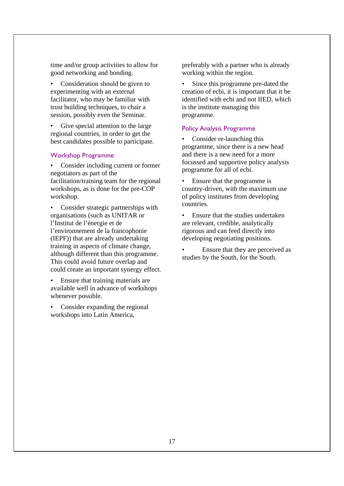time and/or group activities to allow for good networking and bonding.

• Consideration should be given to experimenting with an external facilitator, who may be familiar with trust building techniques, to chair a session, possibly even the Seminar.

Give special attention to the large regional countries, in order to get the best candidates possible to participate.

## Workshop Programme

Consider including current or former negotiators as part of the facilitation/training team for the regional workshops, as is done for the pre-COP workshop.

• Consider strategic partnerships with organisations (such as UNITAR or l'Institut de l'énergie et de l'environnement de la francophonie (IEPF)) that are already undertaking training in aspects of climate change, although different than this programme. This could avoid future overlap and could create an important synergy effect.

• Ensure that training materials are available well in advance of workshops whenever possible.

Consider expanding the regional workshops into Latin America,

preferably with a partner who is already working within the region.

• Since this programme pre-dated the creation of ecbi, it is important that it be identified with ecbi and not IIED, which is the institute managing this programme.

### Policy Analysis Programme

Consider re-launching this programme, since there is a new head and there is a new need for a more focussed and supportive policy analysis programme for all of ecbi.

Ensure that the programme is country-driven, with the maximum use of policy institutes from developing countries.

• Ensure that the studies undertaken are relevant, credible, analytically rigorous and can feed directly into developing negotiating positions.

Ensure that they are perceived as studies by the South, for the South.